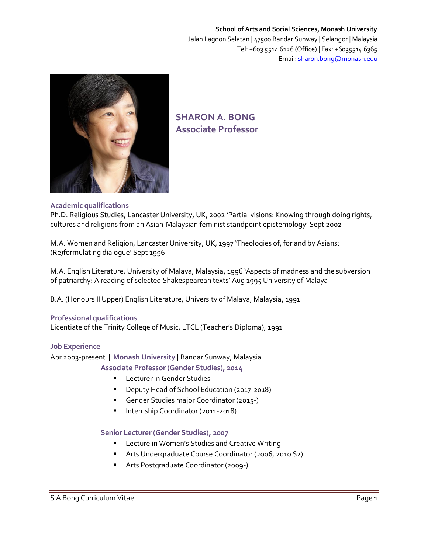# **School of Arts and Social Sciences, Monash University** Jalan Lagoon Selatan | 47500 Bandar Sunway | Selangor | Malaysia Tel: +603 5514 6126 (Office) | Fax: +6035514 6365 Email[: sharon.bong@monash.edu](mailto:sharon.bong@monash.edu)



# **SHARON A. BONG Associate Professor**

# **Academic qualifications**

Ph.D. Religious Studies, Lancaster University, UK, 2002 'Partial visions: Knowing through doing rights, cultures and religions from an Asian-Malaysian feminist standpoint epistemology' Sept 2002

M.A. Women and Religion, Lancaster University, UK, 1997 'Theologies of, for and by Asians: (Re)formulating dialogue' Sept 1996

M.A. English Literature, University of Malaya, Malaysia, 1996 'Aspects of madness and the subversion of patriarchy: A reading of selected Shakespearean texts' Aug 1995 University of Malaya

B.A. (Honours II Upper) English Literature, University of Malaya, Malaysia, 1991

# **Professional qualifications**

Licentiate of the Trinity College of Music, LTCL (Teacher's Diploma), 1991

# **Job Experience**

Apr 2003-present | **Monash University |** Bandar Sunway, Malaysia

**Associate Professor (Gender Studies), 2014**

- Lecturer in Gender Studies
- **•** Deputy Head of School Education (2017-2018)
- Gender Studies major Coordinator (2015-)
- **Internship Coordinator (2011-2018)**

# **Senior Lecturer (Gender Studies), 2007**

- **E** Lecture in Women's Studies and Creative Writing
- Arts Undergraduate Course Coordinator (2006, 2010 S2)
- **Arts Postgraduate Coordinator (2009-)**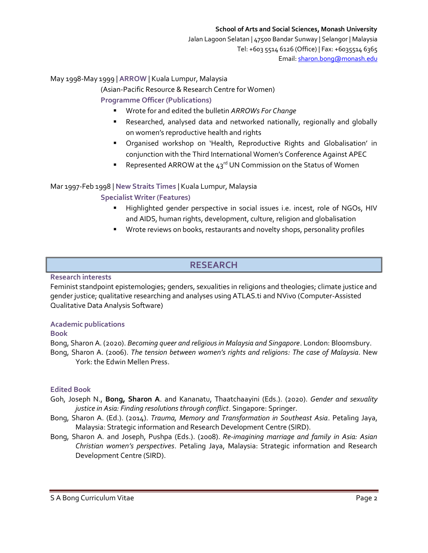Jalan Lagoon Selatan | 47500 Bandar Sunway | Selangor | Malaysia Tel: +603 5514 6126 (Office) | Fax: +6035514 6365 Email[: sharon.bong@monash.edu](mailto:sharon.bong@monash.edu)

# May 1998-May 1999 | **ARROW** | Kuala Lumpur, Malaysia

(Asian-Pacific Resource & Research Centre for Women)

**Programme Officer (Publications)** 

- Wrote for and edited the bulletin *ARROWs For Change*
- Researched, analysed data and networked nationally, regionally and globally on women's reproductive health and rights
- Organised workshop on 'Health, Reproductive Rights and Globalisation' in conjunction with the Third International Women's Conference Against APEC
- Represented ARROW at the  $43<sup>rd</sup>$  UN Commission on the Status of Women

# Mar 1997-Feb 1998 | **New Straits Times** | Kuala Lumpur, Malaysia

# **Specialist Writer (Features)**

- Highlighted gender perspective in social issues i.e. incest, role of NGOs, HIV and AIDS, human rights, development, culture, religion and globalisation
- **Wrote reviews on books, restaurants and novelty shops, personality profiles**

# **RESEARCH**

# **Research interests**

Feminist standpoint epistemologies; genders, sexualities in religions and theologies; climate justice and gender justice; qualitative researching and analyses using ATLAS.ti and NVivo (Computer-Assisted Qualitative Data Analysis Software)

# **Academic publications**

# **Book**

Bong, Sharon A. (2020). *Becoming queer and religious in Malaysia and Singapore*. London: Bloomsbury. Bong, Sharon A. (2006). *The tension between women's rights and religions: The case of Malaysia*. New York: the Edwin Mellen Press.

# **Edited Book**

- Goh, Joseph N., **Bong, Sharon A**. and Kananatu, Thaatchaayini (Eds.). (2020). *Gender and sexuality justice in Asia: Finding resolutions through conflict*. Singapore: Springer.
- Bong, Sharon A. (Ed.). (2014). *Trauma, Memory and Transformation in Southeast Asia*. Petaling Jaya, Malaysia: Strategic information and Research Development Centre (SIRD).
- Bong, Sharon A. and Joseph, Pushpa (Eds.). (2008). *Re-imagining marriage and family in Asia: Asian Christian women's perspectives*. Petaling Jaya, Malaysia: Strategic information and Research Development Centre (SIRD).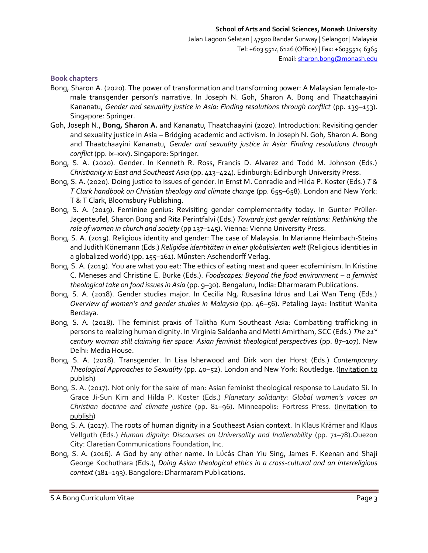#### **Book chapters**

- Bong, Sharon A. (2020). The power of transformation and transforming power: A Malaysian female-tomale transgender person's narrative. In Joseph N. Goh, Sharon A. Bong and Thaatchaayini Kananatu, *Gender and sexuality justice in Asia: Finding resolutions through conflict* (pp. 139–153). Singapore: Springer.
- Goh, Joseph N., **Bong, Sharon A.** and Kananatu, Thaatchaayini (2020). Introduction: Revisiting gender and sexuality justice in Asia – Bridging academic and activism. In Joseph N. Goh, Sharon A. Bong and Thaatchaayini Kananatu, *Gender and sexuality justice in Asia: Finding resolutions through conflict* (pp. ix–xxv). Singapore: Springer.
- Bong, S. A. (2020). Gender. In Kenneth R. Ross, Francis D. Alvarez and Todd M. Johnson (Eds.) *Christianity in East and Southeast Asia* (pp. 413–424). Edinburgh: Edinburgh University Press.
- Bong, S. A. (2020). Doing justice to issues of gender. In Ernst M. Conradie and Hilda P. Koster (Eds.) *T & T Clark handbook on Christian theology and climate change* (pp. 655–658). London and New York: T & T Clark, Bloomsbury Publishing.
- Bong, S. A. (2019). Feminine genius: Revisiting gender complementarity today. In Gunter Prüller-Jagenteufel, Sharon Bong and Rita Perintfalvi (Eds.) *Towards just gender relations: Rethinking the role of women in church and society* (pp 137–145). Vienna: Vienna University Press.
- Bong, S. A. (2019). Religious identity and gender: The case of Malaysia. In Marianne Heimbach-Steins and Judith Könemann (Eds.) *Religiőse identitäten in einer globalisierten welt* (Religious identities in a globalized world) (pp. 155–161). Műnster: Aschendorff Verlag.
- Bong, S. A. (2019). You are what you eat: The ethics of eating meat and queer ecofeminism. In Kristine C. Meneses and Christine E. Burke (Eds.). *Foodscapes: Beyond the food environment – a feminist theological take on food issues in Asia* (pp. 9–30). Bengaluru, India: Dharmaram Publications.
- Bong, S. A. (2018). Gender studies major. In Cecilia Ng, Rusaslina Idrus and Lai Wan Teng (Eds.) *Overview of women's and gender studies in Malaysia* (pp. 46–56). Petaling Jaya: Institut Wanita Berdaya.
- Bong, S. A. (2018). The feminist praxis of Talitha Kum Southeast Asia: Combatting trafficking in persons to realizing human dignity. In Virginia Saldanha and Metti Amirtham, SCC (Eds.) *The 21st century woman still claiming her space: Asian feminist theological perspectives* (pp. 87–107). New Delhi: Media House.
- Bong, S. A. (2018). Transgender. In Lisa Isherwood and Dirk von der Horst (Eds.) *Contemporary Theological Approaches to Sexuality* (pp. 40–52). London and New York: Routledge. (Invitation to publish)
- Bong, S. A. (2017). Not only for the sake of man: Asian feminist theological response to Laudato Si. In Grace Ji-Sun Kim and Hilda P. Koster (Eds.) *Planetary solidarity: Global women's voices on Christian doctrine and climate justice* (pp. 81–96). Minneapolis: Fortress Press. (Invitation to publish)
- Bong, S. A. (2017). The roots of human dignity in a Southeast Asian context. In Klaus Krämer and Klaus Vellguth (Eds.) *Human dignity: Discourses on Universality and Inalienability* (pp. 71–78).Quezon City: Claretian Communications Foundation, Inc.
- Bong, S. A. (2016). A God by any other name. In Lúcás Chan Yiu Sing, James F. Keenan and Shaji George Kochuthara (Eds.), *Doing Asian theological ethics in a cross-cultural and an interreligious context* (181–193). Bangalore: Dharmaram Publications.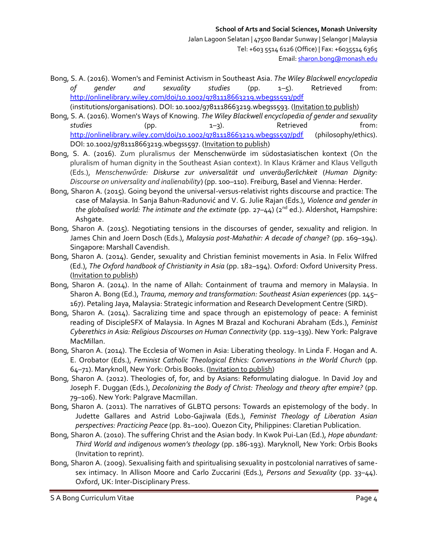Bong, S. A. (2016). Women's and Feminist Activism in Southeast Asia. *The Wiley Blackwell encyclopedia of gender and sexuality studies* (pp. 1–5). Retrieved from: <http://onlinelibrary.wiley.com/doi/10.1002/9781118663219.wbegss593/pdf> (institutions/organisations). DOI: 10.1002/9781118663219.wbegss593. (Invitation to publish)

Bong, S. A. (2016). Women's Ways of Knowing. *The Wiley Blackwell encyclopedia of gender and sexuality studies* (pp. 1–3). Retrieved from: <http://onlinelibrary.wiley.com/doi/10.1002/9781118663219.wbegss597/pdf> (philosophy/ethics). DOI: 10.1002/9781118663219.wbegss597. (Invitation to publish)

- Bong, S. A. (2016). Zum pluralismus der Menschenwürde im südostasiatischen kontext (On the pluralism of human dignity in the Southeast Asian context). In Klaus Krämer and Klaus Vellguth (Eds.), *Menschenwűrde: Diskurse zur universalität und unveräußerlichkeit* (*Human Dignity: Discourse on universality and inalienability*) (pp. 100–110). Freiburg, Basel and Vienna: Herder.
- Bong, Sharon A. (2015). Going beyond the universal-versus-relativist rights discourse and practice: The case of Malaysia. In Sanja Bahun-Radunović and V. G. Julie Rajan (Eds.), *Violence and gender in the globalised world: The intimate and the extimate* (pp. 27–44) (2<sup>nd</sup> ed.). Aldershot, Hampshire: Ashgate.
- Bong, Sharon A. (2015). Negotiating tensions in the discourses of gender, sexuality and religion. In James Chin and Joern Dosch (Eds.), *Malaysia post-Mahathir: A decade of change*? (pp. 169–194). Singapore: Marshall Cavendish.
- Bong, Sharon A. (2014). Gender, sexuality and Christian feminist movements in Asia. In Felix Wilfred (Ed.), *The Oxford handbook of Christianity in Asia* (pp. 182–194). Oxford: Oxford University Press. (Invitation to publish)
- Bong, Sharon A. (2014). In the name of Allah: Containment of trauma and memory in Malaysia. In Sharon A. Bong (Ed.), *Trauma, memory and transformation: Southeast Asian experiences* (pp. 145– 167). Petaling Jaya, Malaysia: Strategic information and Research Development Centre (SIRD).
- Bong, Sharon A. (2014). Sacralizing time and space through an epistemology of peace: A feminist reading of DiscipleSFX of Malaysia. In Agnes M Brazal and Kochurani Abraham (Eds.), *Feminist Cyberethics in Asia: Religious Discourses on Human Connectivity* (pp. 119–139). New York: Palgrave MacMillan.
- Bong, Sharon A. (2014). The Ecclesia of Women in Asia: Liberating theology. In Linda F. Hogan and A. E. Orobator (Eds.), *Feminist Catholic Theological Ethics: Conversations in the World Church* (pp. 64–71). Maryknoll, New York: Orbis Books. (Invitation to publish)
- Bong, Sharon A. (2012). Theologies of, for, and by Asians: Reformulating dialogue. In David Joy and Joseph F. Duggan (Eds.), *Decolonizing the Body of Christ: Theology and theory after empire?* (pp. 79–106). New York: Palgrave Macmillan.
- Bong, Sharon A. (2011). The narratives of GLBTQ persons: Towards an epistemology of the body. In Judette Gallares and Astrid Lobo-Gajiwala (Eds.), *Feminist Theology of Liberation Asian perspectives: Practicing Peace* (pp. 81–100). Quezon City, Philippines: Claretian Publication.
- Bong, Sharon A. (2010). The suffering Christ and the Asian body. In Kwok Pui-Lan (Ed.), *Hope abundant: Third World and indigenous women's theology* (pp. 186-193). Maryknoll, New York: Orbis Books (Invitation to reprint).
- Bong, Sharon A. (2009). Sexualising faith and spiritualising sexuality in postcolonial narratives of samesex intimacy. In Allison Moore and Carlo Zuccarini (Eds.), *Persons and Sexuality* (pp. 33–44). Oxford, UK: Inter-Disciplinary Press.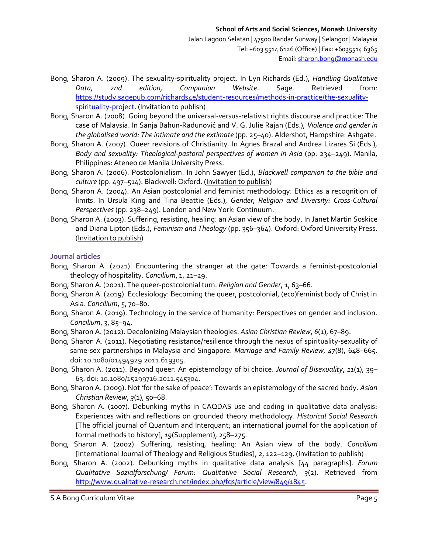- Bong, Sharon A. (2009). The sexuality-spirituality project. In Lyn Richards (Ed.), *Handling Qualitative Data, 2nd edition, Companion Website*. Sage. Retrieved from: [https://study.sagepub.com/richards4e/student-resources/methods-in-practice/the-sexuality](https://study.sagepub.com/richards4e/student-resources/methods-in-practice/the-sexuality-spirituality-project)[spirituality-project.](https://study.sagepub.com/richards4e/student-resources/methods-in-practice/the-sexuality-spirituality-project) (Invitation to publish)
- Bong, Sharon A. (2008). Going beyond the universal-versus-relativist rights discourse and practice: The case of Malaysia. In Sanja Bahun-Radunović and V. G. Julie Rajan (Eds.), *Violence and gender in the globalised world: The intimate and the extimate* (pp. 25–40). Aldershot, Hampshire: Ashgate.
- Bong, Sharon A. (2007). Queer revisions of Christianity. In Agnes Brazal and Andrea Lizares Si (Eds.), *Body and sexuality: Theological-pastoral perspectives of women in Asia* (pp. 234–249). Manila, Philippines: Ateneo de Manila University Press.
- Bong, Sharon A. (2006). Postcolonialism. In John Sawyer (Ed.), *Blackwell companion to the bible and culture* (pp. 497–514). Blackwell: Oxford. (Invitation to publish)
- Bong, Sharon A. (2004). An Asian postcolonial and feminist methodology: Ethics as a recognition of limits. In Ursula King and Tina Beattie (Eds.), *Gender, Religion and Diversity: Cross-Cultural Perspectives*(pp. 238–249). London and New York: Continuum.
- Bong, Sharon A. (2003). Suffering, resisting, healing: an Asian view of the body. In Janet Martin Soskice and Diana Lipton (Eds.), *Feminism and Theology* (pp. 356–364). Oxford: Oxford University Press. (Invitation to publish)

### **Journal articles**

- Bong, Sharon A. (2021). Encountering the stranger at the gate: Towards a feminist-postcolonial theology of hospitality. *Concilium*, 1, 21–29.
- Bong, Sharon A. (2021). The queer-postcolonial turn. *Religion and Gender*, 1, 63–66.
- Bong, Sharon A. (2019). Ecclesiology: Becoming the queer, postcolonial, (eco)feminist body of Christ in Asia. *Concilium*, 5, 70–80.
- Bong, Sharon A. (2019). Technology in the service of humanity: Perspectives on gender and inclusion. *Concilium*, *3*, 85–94.
- Bong, Sharon A. (2012). Decolonizing Malaysian theologies. *Asian Christian Review*, *6*(1), 67–89.
- Bong, Sharon A. (2011). Negotiating resistance/resilience through the nexus of spirituality-sexuality of same-sex partnerships in Malaysia and Singapore. *Marriage and Family Review, 47*(8), 648–665. doi: 10.1080/01494929.2011.619305.
- Bong, Sharon A. (2011). Beyond queer: An epistemology of bi choice. *Journal of Bisexuality*, *11*(1), 39– 63. doi: 10.1080/15299716.2011.545304.
- Bong, Sharon A. (2009). Not 'for the sake of peace': Towards an epistemology of the sacred body. *Asian Christian Review*, *3*(1), 50–68.
- Bong, Sharon A. (2007). Debunking myths in CAQDAS use and coding in qualitative data analysis: Experiences with and reflections on grounded theory methodology. *Historical Social Research* [The official journal of Quantum and Interquant; an international journal for the application of formal methods to history], *19*(Supplement), 258–275.
- Bong, Sharon A. (2002). Suffering, resisting, healing: An Asian view of the body. *Concilium* [International Journal of Theology and Religious Studies], *2*, 122–129. (Invitation to publish)
- Bong, Sharon A. (2002). Debunking myths in qualitative data analysis [44 paragraphs]. *Forum Qualitative Sozialforschung/ Forum: Qualitative Social Research*, *3*(2). Retrieved from [http://www.qualitative-research.net/index.php/fqs/article/view/849/1845.](http://www.qualitative-research.net/index.php/fqs/article/view/849/1845)

S A Bong Curriculum Vitae **Page 5** and the Page 5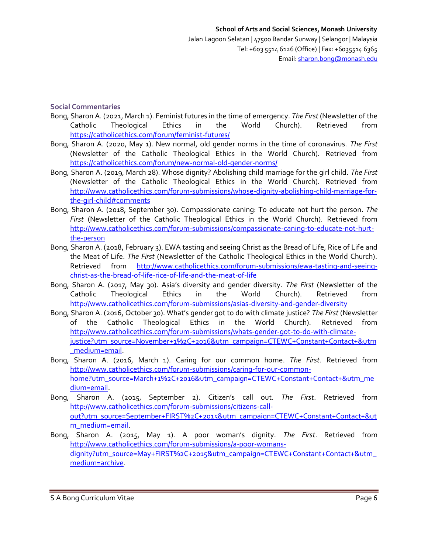### **Social Commentaries**

- Bong, Sharon A. (2021, March 1). Feminist futures in the time of emergency. *The First* (Newsletter of the Catholic Theological Ethics in the World Church). Retrieved from <https://catholicethics.com/forum/feminist-futures/>
- Bong, Sharon A. (2020, May 1). New normal, old gender norms in the time of coronavirus. *The First* (Newsletter of the Catholic Theological Ethics in the World Church). Retrieved from <https://catholicethics.com/forum/new-normal-old-gender-norms/>
- Bong, Sharon A. (2019, March 28). Whose dignity? Abolishing child marriage for the girl child. *The First* (Newsletter of the Catholic Theological Ethics in the World Church). Retrieved from [http://www.catholicethics.com/forum-submissions/whose-dignity-abolishing-child-marriage-for](http://www.catholicethics.com/forum-submissions/whose-dignity-abolishing-child-marriage-for-the-girl-child#comments)[the-girl-child#comments](http://www.catholicethics.com/forum-submissions/whose-dignity-abolishing-child-marriage-for-the-girl-child#comments)
- Bong, Sharon A. (2018, September 30). Compassionate caning: To educate not hurt the person. *The First* (Newsletter of the Catholic Theological Ethics in the World Church). Retrieved from [http://www.catholicethics.com/forum-submissions/compassionate-caning-to-educate-not-hurt](http://www.catholicethics.com/forum-submissions/compassionate-caning-to-educate-not-hurt-the-person)[the-person](http://www.catholicethics.com/forum-submissions/compassionate-caning-to-educate-not-hurt-the-person)
- Bong, Sharon A. (2018, February 3). EWA tasting and seeing Christ as the Bread of Life, Rice of Life and the Meat of Life. *The First* (Newsletter of the Catholic Theological Ethics in the World Church). Retrieved from [http://www.catholicethics.com/forum-submissions/ewa-tasting-and-seeing](http://www.catholicethics.com/forum-submissions/ewa-tasting-and-seeing-christ-as-the-bread-of-life-rice-of-life-and-the-meat-of-life)[christ-as-the-bread-of-life-rice-of-life-and-the-meat-of-life](http://www.catholicethics.com/forum-submissions/ewa-tasting-and-seeing-christ-as-the-bread-of-life-rice-of-life-and-the-meat-of-life)
- Bong, Sharon A. (2017, May 30). Asia's diversity and gender diversity. *The First* (Newsletter of the Catholic Theological Ethics in the World Church). Retrieved from <http://www.catholicethics.com/forum-submissions/asias-diversity-and-gender-diversity>
- Bong, Sharon A. (2016, October 30). What's gender got to do with climate justice? *The First* (Newsletter of the Catholic Theological Ethics in the World Church). Retrieved from [http://www.catholicethics.com/forum-submissions/whats-gender-got-to-do-with-climate](http://www.catholicethics.com/forum-submissions/whats-gender-got-to-do-with-climate-justice?utm_source=November+1%2C+2016&utm_campaign=CTEWC+Constant+Contact+&utm_medium=email)[justice?utm\\_source=November+1%2C+2016&utm\\_campaign=CTEWC+Constant+Contact+&utm](http://www.catholicethics.com/forum-submissions/whats-gender-got-to-do-with-climate-justice?utm_source=November+1%2C+2016&utm_campaign=CTEWC+Constant+Contact+&utm_medium=email) [\\_medium=email.](http://www.catholicethics.com/forum-submissions/whats-gender-got-to-do-with-climate-justice?utm_source=November+1%2C+2016&utm_campaign=CTEWC+Constant+Contact+&utm_medium=email)
- Bong, Sharon A. (2016, March 1). Caring for our common home. *The First*. Retrieved from [http://www.catholicethics.com/forum-submissions/caring-for-our-common](http://www.catholicethics.com/forum-submissions/caring-for-our-common-home?utm_source=March+1%2C+2016&utm_campaign=CTEWC+Constant+Contact+&utm_medium=email)[home?utm\\_source=March+1%2C+2016&utm\\_campaign=CTEWC+Constant+Contact+&utm\\_me](http://www.catholicethics.com/forum-submissions/caring-for-our-common-home?utm_source=March+1%2C+2016&utm_campaign=CTEWC+Constant+Contact+&utm_medium=email) [dium=email.](http://www.catholicethics.com/forum-submissions/caring-for-our-common-home?utm_source=March+1%2C+2016&utm_campaign=CTEWC+Constant+Contact+&utm_medium=email)
- Bong, Sharon A. (2015, September 2). Citizen's call out. *The First*. Retrieved from [http://www.catholicethics.com/forum-submissions/citizens-call](http://www.catholicethics.com/forum-submissions/citizens-call-out?utm_source=September+FIRST%2C+2015&utm_campaign=CTEWC+Constant+Contact+&utm_medium=email)[out?utm\\_source=September+FIRST%2C+2015&utm\\_campaign=CTEWC+Constant+Contact+&ut](http://www.catholicethics.com/forum-submissions/citizens-call-out?utm_source=September+FIRST%2C+2015&utm_campaign=CTEWC+Constant+Contact+&utm_medium=email) [m\\_medium=email.](http://www.catholicethics.com/forum-submissions/citizens-call-out?utm_source=September+FIRST%2C+2015&utm_campaign=CTEWC+Constant+Contact+&utm_medium=email)
- Bong, Sharon A. (2015, May 1). A poor woman's dignity. *The First*. Retrieved from [http://www.catholicethics.com/forum-submissions/a-poor-womans](http://www.catholicethics.com/forum-submissions/a-poor-womans-dignity?utm_source=May+FIRST%2C+2015&utm_campaign=CTEWC+Constant+Contact+&utm_medium=archive)[dignity?utm\\_source=May+FIRST%2C+2015&utm\\_campaign=CTEWC+Constant+Contact+&utm\\_](http://www.catholicethics.com/forum-submissions/a-poor-womans-dignity?utm_source=May+FIRST%2C+2015&utm_campaign=CTEWC+Constant+Contact+&utm_medium=archive) [medium=archive.](http://www.catholicethics.com/forum-submissions/a-poor-womans-dignity?utm_source=May+FIRST%2C+2015&utm_campaign=CTEWC+Constant+Contact+&utm_medium=archive)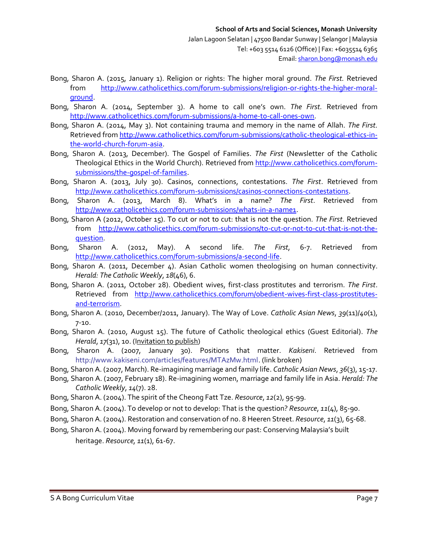Email[: sharon.bong@monash.edu](mailto:sharon.bong@monash.edu)

- Bong, Sharon A. (2015, January 1). Religion or rights: The higher moral ground. *The First.* Retrieved from [http://www.catholicethics.com/forum-submissions/religion-or-rights-the-higher-moral](http://www.catholicethics.com/forum-submissions/religion-or-rights-the-higher-moral-ground)[ground.](http://www.catholicethics.com/forum-submissions/religion-or-rights-the-higher-moral-ground)
- Bong, Sharon A. (2014, September 3). A home to call one's own. *The First.* Retrieved from [http://www.catholicethics.com/forum-submissions/a-home-to-call-ones-own.](http://www.catholicethics.com/forum-submissions/a-home-to-call-ones-own)
- Bong, Sharon A. (2014, May 3). Not containing trauma and memory in the name of Allah. *The First.* Retrieved from [http://www.catholicethics.com/forum-submissions/catholic-theological-ethics-in](http://www.catholicethics.com/forum-submissions/catholic-theological-ethics-in-the-world-church-forum-asia)[the-world-church-forum-asia.](http://www.catholicethics.com/forum-submissions/catholic-theological-ethics-in-the-world-church-forum-asia)
- Bong, Sharon A. (2013, December). The Gospel of Families. *The First* (Newsletter of the Catholic Theological Ethics in the World Church). Retrieved from [http://www.catholicethics.com/forum](http://www.catholicethics.com/forum-submissions/the-gospel-of-families)[submissions/the-gospel-of-families.](http://www.catholicethics.com/forum-submissions/the-gospel-of-families)
- Bong, Sharon A. (2013, July 30). Casinos, connections, contestations. *The First*. Retrieved from [http://www.catholicethics.com/forum-submissions/casinos-connections-contestations.](http://www.catholicethics.com/forum-submissions/casinos-connections-contestations)
- Bong, Sharon A. (2013, March 8). What's in a name? *The First*. Retrieved from [http://www.catholicethics.com/forum-submissions/whats-in-a-name1.](http://www.catholicethics.com/forum-submissions/whats-in-a-name1)
- Bong, Sharon A (2012, October 15). To cut or not to cut: that is not the question. *The First.* Retrieved from [http://www.catholicethics.com/forum-submissions/to-cut-or-not-to-cut-that-is-not-the](http://www.catholicethics.com/forum-submissions/to-cut-or-not-to-cut-that-is-not-the-question)[question.](http://www.catholicethics.com/forum-submissions/to-cut-or-not-to-cut-that-is-not-the-question)
- Bong, Sharon A. (2012, May). A second life. *The First*, 6-7. Retrieved from [http://www.catholicethics.com/forum-submissions/a-second-life.](http://www.catholicethics.com/forum-submissions/a-second-life)
- Bong, Sharon A. (2011, December 4). Asian Catholic women theologising on human connectivity. *Herald: The Catholic Weekly*, *18*(46), 6.
- Bong, Sharon A. (2011, October 28). Obedient wives, first-class prostitutes and terrorism. *The First*. Retrieved from [http://www.catholicethics.com/forum/obedient-wives-first-class-prostitutes](http://www.catholicethics.com/forum/obedient-wives-first-class-prostitutes-and-terrorism)[and-terrorism.](http://www.catholicethics.com/forum/obedient-wives-first-class-prostitutes-and-terrorism)
- Bong, Sharon A. (2010, December/2011, January). The Way of Love. *Catholic Asian News*, *39*(11)/*40*(1), 7-10.
- Bong, Sharon A. (2010, August 15). The future of Catholic theological ethics (Guest Editorial). *The Herald*, *17*(31), 10. (Invitation to publish)
- Bong, Sharon A. (2007, January 30). Positions that matter. *Kakiseni*. Retrieved from [http://www.kakiseni.com/articles/features/MTAzMw.html.](http://www.kakiseni.com/articles/features/MTAzMw.html) (link broken)
- Bong, Sharon A. (2007, March). Re-imagining marriage and family life. *Catholic Asian News*, *36*(3), 15-17.
- Bong, Sharon A. (2007, February 18). Re-imagining women, marriage and family life in Asia. *Herald: The Catholic Weekly*, *14*(7). 28.
- Bong, Sharon A. (2004). The spirit of the Cheong Fatt Tze. *Resource*, *12*(2), 95-99.
- Bong, Sharon A. (2004). To develop or not to develop: That is the question? *Resource*, *11*(4), 85-90.
- Bong, Sharon A. (2004). Restoration and conservation of no. 8 Heeren Street. *Resource*, *11*(3), 65-68.
- Bong, Sharon A. (2004). Moving forward by remembering our past: Conserving Malaysia's built heritage. *Resource, 11*(1), 61-67.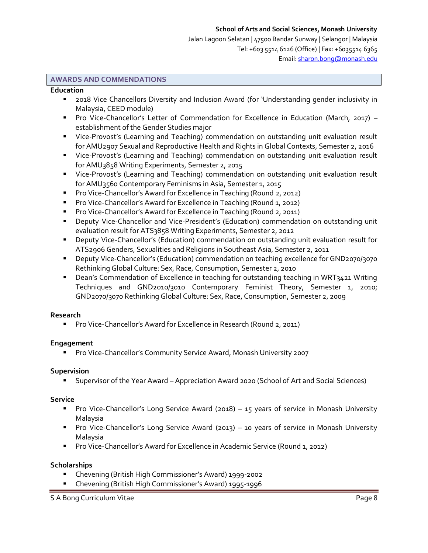Jalan Lagoon Selatan | 47500 Bandar Sunway | Selangor | Malaysia Tel: +603 5514 6126 (Office) | Fax: +6035514 6365 Email[: sharon.bong@monash.edu](mailto:sharon.bong@monash.edu)

### **AWARDS AND COMMENDATIONS**

#### **Education**

- 2018 Vice Chancellors Diversity and Inclusion Award (for 'Understanding gender inclusivity in Malaysia, CEED module)
- **Pro Vice-Chancellor's Letter of Commendation for Excellence in Education (March, 2017)** establishment of the Gender Studies major
- Vice-Provost's (Learning and Teaching) commendation on outstanding unit evaluation result for AMU2907 Sexual and Reproductive Health and Rights in Global Contexts, Semester 2, 2016
- Vice-Provost's (Learning and Teaching) commendation on outstanding unit evaluation result for AMU3858 Writing Experiments, Semester 2, 2015
- Vice-Provost's (Learning and Teaching) commendation on outstanding unit evaluation result for AMU3560 Contemporary Feminisms in Asia, Semester 1, 2015
- **Pro Vice-Chancellor's Award for Excellence in Teaching (Round 2, 2012)**
- **Pro Vice-Chancellor's Award for Excellence in Teaching (Round 1, 2012)**
- **Pro Vice-Chancellor's Award for Excellence in Teaching (Round 2, 2011)**
- Deputy Vice-Chancellor and Vice-President's (Education) commendation on outstanding unit evaluation result for ATS3858 Writing Experiments, Semester 2, 2012
- Deputy Vice-Chancellor's (Education) commendation on outstanding unit evaluation result for ATS2906 Genders, Sexualities and Religions in Southeast Asia, Semester 2, 2011
- Deputy Vice-Chancellor's (Education) commendation on teaching excellence for GND2070/3070 Rethinking Global Culture: Sex, Race, Consumption, Semester 2, 2010
- Dean's Commendation of Excellence in teaching for outstanding teaching in WRT3421 Writing Techniques and GND2010/3010 Contemporary Feminist Theory, Semester 1, 2010; GND2070/3070 Rethinking Global Culture: Sex, Race, Consumption, Semester 2, 2009

#### **Research**

**Pro Vice-Chancellor's Award for Excellence in Research (Round 2, 2011)** 

# **Engagement**

Pro Vice-Chancellor's Community Service Award, Monash University 2007

#### **Supervision**

Supervisor of the Year Award – Appreciation Award 2020 (School of Art and Social Sciences)

#### **Service**

- Pro Vice-Chancellor's Long Service Award (2018) 15 years of service in Monash University Malaysia
- Pro Vice-Chancellor's Long Service Award (2013) 10 years of service in Monash University Malaysia
- **Pro Vice-Chancellor's Award for Excellence in Academic Service (Round 1, 2012)**

# **Scholarships**

- Chevening (British High Commissioner's Award) 1999-2002
- Chevening (British High Commissioner's Award) 1995-1996

S A Bong Curriculum Vitae **Page 8** and the Page 8 and the Page 8 and the Page 8 and the Page 8 and the Page 8 and the Page 8 and the Page 8 and the Page 8 and the Page 8 and the Page 8 and the Page 8 and the Page 8 and the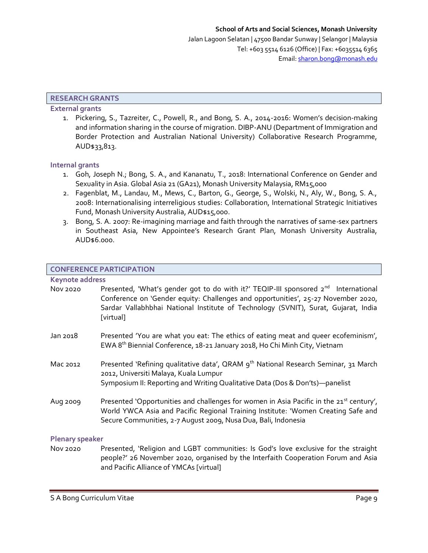### **RESEARCH GRANTS**

# **External grants**

1. Pickering, S., Tazreiter, C., Powell, R., and Bong, S. A., 2014-2016: Women's decision-making and information sharing in the course of migration. DIBP-ANU (Department of Immigration and Border Protection and Australian National University) Collaborative Research Programme, AUD\$33,813.

#### **Internal grants**

- 1. Goh, Joseph N.; Bong, S. A., and Kananatu, T., 2018: International Conference on Gender and Sexuality in Asia. Global Asia 21 (GA21), Monash University Malaysia, RM15,000
- 2. Fagenblat, M., Landau, M., Mews, C., Barton, G., George, S., Wolski, N., Aly, W., Bong, S. A., 2008: Internationalising interreligious studies: Collaboration, International Strategic Initiatives Fund, Monash University Australia, AUD\$15,000.
- 3. Bong, S. A. 2007: Re-imagining marriage and faith through the narratives of same-sex partners in Southeast Asia, New Appointee's Research Grant Plan, Monash University Australia, AUD\$6.000.

#### **CONFERENCE PARTICIPATION**

#### **Keynote address**

| Nov 2020 | Presented, 'What's gender got to do with it?' TEQIP-III sponsored 2 <sup>nd</sup> International<br>Conference on 'Gender equity: Challenges and opportunities', 25-27 November 2020,<br>Sardar Vallabhbhai National Institute of Technology (SVNIT), Surat, Gujarat, India<br>[virtual] |
|----------|-----------------------------------------------------------------------------------------------------------------------------------------------------------------------------------------------------------------------------------------------------------------------------------------|
| Jan 2018 | Presented 'You are what you eat: The ethics of eating meat and queer ecofeminism',<br>EWA 8 <sup>th</sup> Biennial Conference, 18-21 January 2018, Ho Chi Minh City, Vietnam                                                                                                            |
| Mac 2012 | Presented 'Refining qualitative data', QRAM 9 <sup>th</sup> National Research Seminar, 31 March<br>2012, Universiti Malaya, Kuala Lumpur<br>Symposium II: Reporting and Writing Qualitative Data (Dos & Don'ts)-panelist                                                                |

Aug 2009 Presented 'Opportunities and challenges for women in Asia Pacific in the 21<sup>st</sup> century', World YWCA Asia and Pacific Regional Training Institute: 'Women Creating Safe and Secure Communities, 2-7 August 2009, Nusa Dua, Bali, Indonesia

#### **Plenary speaker**

Nov 2020 Presented, 'Religion and LGBT communities: Is God's love exclusive for the straight people?' 26 November 2020, organised by the Interfaith Cooperation Forum and Asia and Pacific Alliance of YMCAs [virtual]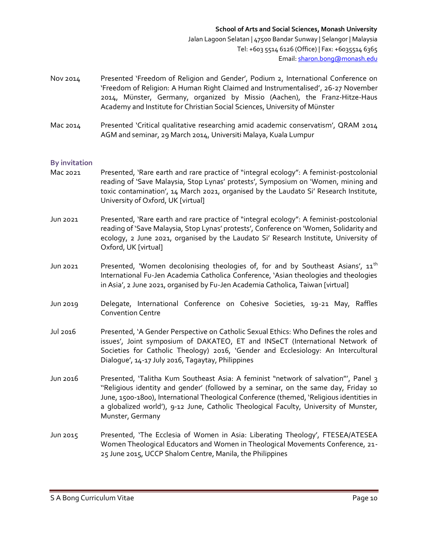- Nov 2014 Presented 'Freedom of Religion and Gender', Podium 2, International Conference on 'Freedom of Religion: A Human Right Claimed and Instrumentalised', 26-27 November 2014, Münster, Germany, organized by Missio (Aachen), the Franz-Hitze-Haus Academy and Institute for Christian Social Sciences, University of Münster
- Mac 2014 Presented 'Critical qualitative researching amid academic conservatism', QRAM 2014 AGM and seminar, 29 March 2014, Universiti Malaya, Kuala Lumpur

### **By invitation**

- Mac 2021 Presented, 'Rare earth and rare practice of "integral ecology": A feminist-postcolonial reading of 'Save Malaysia, Stop Lynas' protests', Symposium on 'Women, mining and toxic contamination', 14 March 2021, organised by the Laudato Si' Research Institute, University of Oxford, UK [virtual]
- Jun 2021 Presented, 'Rare earth and rare practice of "integral ecology": A feminist-postcolonial reading of 'Save Malaysia, Stop Lynas' protests', Conference on 'Women, Solidarity and ecology, 2 June 2021, organised by the Laudato Si' Research Institute, University of Oxford, UK [virtual]
- Jun 2021 Presented, 'Women decolonising theologies of, for and by Southeast Asians',  $11<sup>th</sup>$ International Fu-Jen Academia Catholica Conference, 'Asian theologies and theologies in Asia', 2 June 2021, organised by Fu-Jen Academia Catholica, Taiwan [virtual]
- Jun 2019 Delegate, International Conference on Cohesive Societies, 19-21 May, Raffles Convention Centre
- Jul 2016 Presented, 'A Gender Perspective on Catholic Sexual Ethics: Who Defines the roles and issues', Joint symposium of DAKATEO, ET and INSeCT (International Network of Societies for Catholic Theology) 2016, 'Gender and Ecclesiology: An Intercultural Dialogue', 14-17 July 2016, Tagaytay, Philippines
- Jun 2016 Presented, 'Talitha Kum Southeast Asia: A feminist "network of salvation"', Panel 3 ''Religious identity and gender' (followed by a seminar, on the same day, Friday 10 June, 1500-1800), International Theological Conference (themed, 'Religious identities in a globalized world'), 9-12 June, Catholic Theological Faculty, University of Munster, Munster, Germany
- Jun 2015 Presented, 'The Ecclesia of Women in Asia: Liberating Theology', FTESEA/ATESEA Women Theological Educators and Women in Theological Movements Conference, 21- 25 June 2015, UCCP Shalom Centre, Manila, the Philippines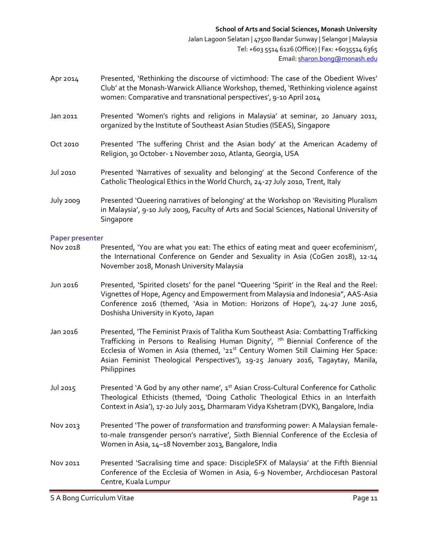- Apr 2014 Presented, 'Rethinking the discourse of victimhood: The case of the Obedient Wives' Club' at the Monash-Warwick Alliance Workshop, themed, 'Rethinking violence against women: Comparative and transnational perspectives', 9-10 April 2014
- Jan 2011 Presented 'Women's rights and religions in Malaysia' at seminar, 20 January 2011, organized by the Institute of Southeast Asian Studies (ISEAS), Singapore
- Oct 2010 Presented 'The suffering Christ and the Asian body' at the American Academy of Religion, 30 October- 1 November 2010, Atlanta, Georgia, USA
- Jul 2010 Presented 'Narratives of sexuality and belonging' at the Second Conference of the Catholic Theological Ethics in the World Church, 24-27 July 2010, Trent, Italy
- July 2009 Presented 'Queering narratives of belonging' at the Workshop on 'Revisiting Pluralism in Malaysia', 9-10 July 2009, Faculty of Arts and Social Sciences, National University of Singapore

#### **Paper presenter**

- Nov 2018 Presented, 'You are what you eat: The ethics of eating meat and queer ecofeminism', the International Conference on Gender and Sexuality in Asia (CoGen 2018), 12-14 November 2018, Monash University Malaysia
- Jun 2016 Presented, 'Spirited closets' for the panel "Queering 'Spirit' in the Real and the Reel: Vignettes of Hope, Agency and Empowerment from Malaysia and Indonesia", AAS-Asia Conference 2016 (themed, 'Asia in Motion: Horizons of Hope'), 24-27 June 2016, Doshisha University in Kyoto, Japan
- Jan 2016 Presented, 'The Feminist Praxis of Talitha Kum Southeast Asia: Combatting Trafficking Trafficking in Persons to Realising Human Dignity',  $\pi$ <sup>th</sup> Biennial Conference of the Ecclesia of Women in Asia (themed, '21<sup>st</sup> Century Women Still Claiming Her Space: Asian Feminist Theological Perspectives'), 19-25 January 2016, Tagaytay, Manila, **Philippines**
- Jul 2015 Presented 'A God by any other name',  $1^{st}$  Asian Cross-Cultural Conference for Catholic Theological Ethicists (themed, 'Doing Catholic Theological Ethics in an Interfaith Context in Asia'), 17-20 July 2015, Dharmaram Vidya Kshetram (DVK), Bangalore, India
- Nov 2013 Presented 'The power of *trans*formation and *trans*forming power: A Malaysian femaleto-male *trans*gender person's narrative', Sixth Biennial Conference of the Ecclesia of Women in Asia, 14–18 November 2013, Bangalore, India
- Nov 2011 Presented 'Sacralising time and space: DiscipleSFX of Malaysia' at the Fifth Biennial Conference of the Ecclesia of Women in Asia, 6-9 November, Archdiocesan Pastoral Centre, Kuala Lumpur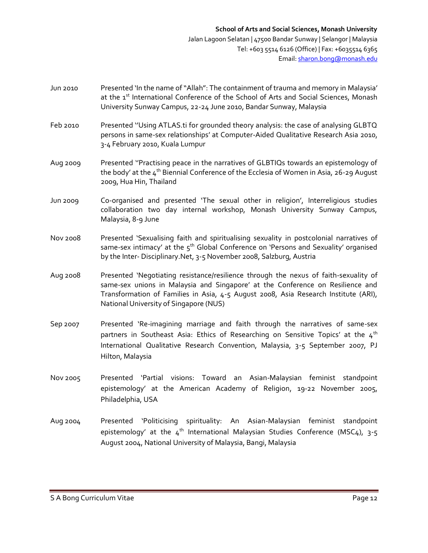- Jun 2010 Presented 'In the name of "Allah": The containment of trauma and memory in Malaysia' at the 1<sup>st</sup> International Conference of the School of Arts and Social Sciences, Monash University Sunway Campus, 22-24 June 2010, Bandar Sunway, Malaysia
- Feb 2010 Presented "Using ATLAS.ti for grounded theory analysis: the case of analysing GLBTQ persons in same-sex relationships' at Computer-Aided Qualitative Research Asia 2010, 3-4 February 2010, Kuala Lumpur
- Aug 2009 Presented ''Practising peace in the narratives of GLBTIQs towards an epistemology of the body' at the  $4<sup>th</sup>$  Biennial Conference of the Ecclesia of Women in Asia, 26-29 August 2009, Hua Hin, Thailand
- Jun 2009 Co-organised and presented 'The sexual other in religion', Interreligious studies collaboration two day internal workshop, Monash University Sunway Campus, Malaysia, 8-9 June
- Nov 2008 Presented 'Sexualising faith and spiritualising sexuality in postcolonial narratives of same-sex intimacy' at the  $5<sup>th</sup>$  Global Conference on 'Persons and Sexuality' organised by the Inter- Disciplinary.Net, 3-5 November 2008, Salzburg, Austria
- Aug 2008 Presented 'Negotiating resistance/resilience through the nexus of faith-sexuality of same-sex unions in Malaysia and Singapore' at the Conference on Resilience and Transformation of Families in Asia, 4-5 August 2008, Asia Research Institute (ARI), National University of Singapore (NUS)
- Sep 2007 Presented 'Re-imagining marriage and faith through the narratives of same-sex partners in Southeast Asia: Ethics of Researching on Sensitive Topics' at the  $4<sup>th</sup>$ International Qualitative Research Convention, Malaysia, 3-5 September 2007, PJ Hilton, Malaysia
- Nov 2005 Presented 'Partial visions: Toward an Asian-Malaysian feminist standpoint epistemology' at the American Academy of Religion, 19-22 November 2005, Philadelphia, USA
- Aug 2004 Presented 'Politicising spirituality: An Asian-Malaysian feminist standpoint epistemology' at the  $4<sup>th</sup>$  International Malaysian Studies Conference (MSC4), 3-5 August 2004, National University of Malaysia, Bangi, Malaysia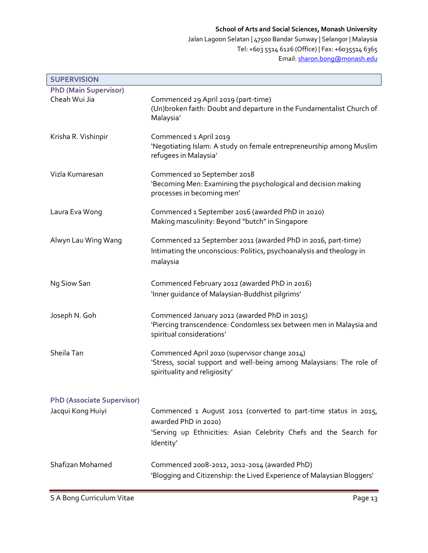Jalan Lagoon Selatan | 47500 Bandar Sunway | Selangor | Malaysia Tel: +603 5514 6126 (Office) | Fax: +6035514 6365 Email[: sharon.bong@monash.edu](mailto:sharon.bong@monash.edu)

| <b>SUPERVISION</b>                                     |                                                                                                                                                                           |
|--------------------------------------------------------|---------------------------------------------------------------------------------------------------------------------------------------------------------------------------|
| <b>PhD (Main Supervisor)</b>                           |                                                                                                                                                                           |
| Cheah Wui Jia                                          | Commenced 29 April 2019 (part-time)<br>(Un)broken faith: Doubt and departure in the Fundamentalist Church of<br>Malaysia'                                                 |
| Krisha R. Vishinpir                                    | Commenced 1 April 2019<br>'Negotiating Islam: A study on female entrepreneurship among Muslim<br>refugees in Malaysia'                                                    |
| Vizla Kumaresan                                        | Commenced 10 September 2018<br>'Becoming Men: Examining the psychological and decision making<br>processes in becoming men'                                               |
| Laura Eva Wong                                         | Commenced 1 September 2016 (awarded PhD in 2020)<br>Making masculinity: Beyond "butch" in Singapore                                                                       |
| Alwyn Lau Wing Wang                                    | Commenced 12 September 2011 (awarded PhD in 2016, part-time)<br>Intimating the unconscious: Politics, psychoanalysis and theology in<br>malaysia                          |
| Ng Siow San                                            | Commenced February 2012 (awarded PhD in 2016)<br>'Inner guidance of Malaysian-Buddhist pilgrims'                                                                          |
| Joseph N. Goh                                          | Commenced January 2012 (awarded PhD in 2015)<br>'Piercing transcendence: Condomless sex between men in Malaysia and<br>spiritual considerations'                          |
| Sheila Tan                                             | Commenced April 2010 (supervisor change 2014)<br>'Stress, social support and well-being among Malaysians: The role of<br>spirituality and religiosity'                    |
|                                                        |                                                                                                                                                                           |
| <b>PhD (Associate Supervisor)</b><br>Jacqui Kong Huiyi | Commenced 1 August 2011 (converted to part-time status in 2015,<br>awarded PhD in 2020)<br>'Serving up Ethnicities: Asian Celebrity Chefs and the Search for<br>Identity' |
| Shafizan Mohamed                                       | Commenced 2008-2012, 2012-2014 (awarded PhD)<br>'Blogging and Citizenship: the Lived Experience of Malaysian Bloggers'                                                    |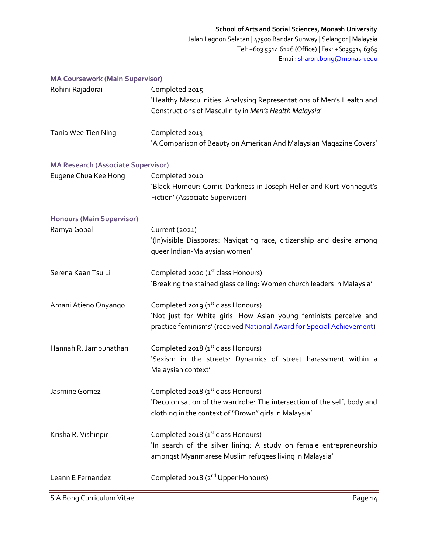Jalan Lagoon Selatan | 47500 Bandar Sunway | Selangor | Malaysia Tel: +603 5514 6126 (Office) | Fax: +6035514 6365 Email[: sharon.bong@monash.edu](mailto:sharon.bong@monash.edu)

# **MA Coursework (Main Supervisor)**

| Rohini Rajadorai                          | Completed 2015<br>'Healthy Masculinities: Analysing Representations of Men's Health and<br>Constructions of Masculinity in Men's Health Malaysia'                                  |
|-------------------------------------------|------------------------------------------------------------------------------------------------------------------------------------------------------------------------------------|
| Tania Wee Tien Ning                       | Completed 2013<br>'A Comparison of Beauty on American And Malaysian Magazine Covers'                                                                                               |
| <b>MA Research (Associate Supervisor)</b> |                                                                                                                                                                                    |
| Eugene Chua Kee Hong                      | Completed 2010<br>'Black Humour: Comic Darkness in Joseph Heller and Kurt Vonnegut's<br>Fiction' (Associate Supervisor)                                                            |
| <b>Honours (Main Supervisor)</b>          |                                                                                                                                                                                    |
| Ramya Gopal                               | Current (2021)<br>'(In) visible Diasporas: Navigating race, citizenship and desire among<br>queer Indian-Malaysian women'                                                          |
| Serena Kaan Tsu Li                        | Completed 2020 (1 <sup>st</sup> class Honours)<br>'Breaking the stained glass ceiling: Women church leaders in Malaysia'                                                           |
| Amani Atieno Onyango                      | Completed 2019 (1st class Honours)<br>'Not just for White girls: How Asian young feminists perceive and<br>practice feminisms' (received National Award for Special Achievement)   |
| Hannah R. Jambunathan                     | Completed 2018 (1 <sup>st</sup> class Honours)<br>'Sexism in the streets: Dynamics of street harassment within a<br>Malaysian context'                                             |
| Jasmine Gomez                             | Completed 2018 (1 <sup>st</sup> class Honours)<br>'Decolonisation of the wardrobe: The intersection of the self, body and<br>clothing in the context of "Brown" girls in Malaysia' |
| Krisha R. Vishinpir                       | Completed 2018 (1 <sup>st</sup> class Honours)<br>'In search of the silver lining: A study on female entrepreneurship<br>amongst Myanmarese Muslim refugees living in Malaysia'    |
| Leann E Fernandez                         | Completed 2018 (2 <sup>nd</sup> Upper Honours)                                                                                                                                     |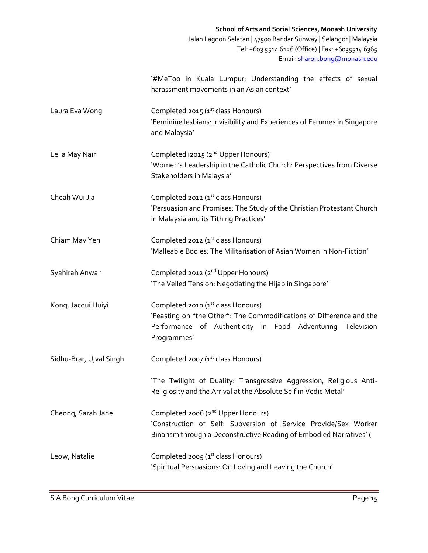|                         | <b>School of Arts and Social Sciences, Monash University</b><br>Jalan Lagoon Selatan   47500 Bandar Sunway   Selangor   Malaysia<br>Tel: +603 5514 6126 (Office)   Fax: +6035514 6365<br>Email: sharon.bong@monash.edu |
|-------------------------|------------------------------------------------------------------------------------------------------------------------------------------------------------------------------------------------------------------------|
|                         | '#MeToo in Kuala Lumpur: Understanding the effects of sexual<br>harassment movements in an Asian context'                                                                                                              |
| Laura Eva Wong          | Completed 2015 (1 <sup>st</sup> class Honours)<br>'Feminine lesbians: invisibility and Experiences of Femmes in Singapore<br>and Malaysia'                                                                             |
| Leila May Nair          | Completed i2015 (2 <sup>nd</sup> Upper Honours)<br>'Women's Leadership in the Catholic Church: Perspectives from Diverse<br>Stakeholders in Malaysia'                                                                  |
| Cheah Wui Jia           | Completed 2012 (1 <sup>st</sup> class Honours)<br>'Persuasion and Promises: The Study of the Christian Protestant Church<br>in Malaysia and its Tithing Practices'                                                     |
| Chiam May Yen           | Completed 2012 (1 <sup>st</sup> class Honours)<br>'Malleable Bodies: The Militarisation of Asian Women in Non-Fiction'                                                                                                 |
| Syahirah Anwar          | Completed 2012 (2 <sup>nd</sup> Upper Honours)<br>'The Veiled Tension: Negotiating the Hijab in Singapore'                                                                                                             |
| Kong, Jacqui Huiyi      | Completed 2010 (1 <sup>st</sup> class Honours)<br>'Feasting on "the Other": The Commodifications of Difference and the<br>Performance of Authenticity in Food Adventuring<br>Television<br>Programmes'                 |
| Sidhu-Brar, Ujval Singh | Completed 2007 (1 <sup>st</sup> class Honours)                                                                                                                                                                         |
|                         | 'The Twilight of Duality: Transgressive Aggression, Religious Anti-<br>Religiosity and the Arrival at the Absolute Self in Vedic Metal'                                                                                |
| Cheong, Sarah Jane      | Completed 2006 (2 <sup>nd</sup> Upper Honours)<br>'Construction of Self: Subversion of Service Provide/Sex Worker<br>Binarism through a Deconstructive Reading of Embodied Narratives' (                               |
| Leow, Natalie           | Completed 2005 (1 <sup>st</sup> class Honours)<br>'Spiritual Persuasions: On Loving and Leaving the Church'                                                                                                            |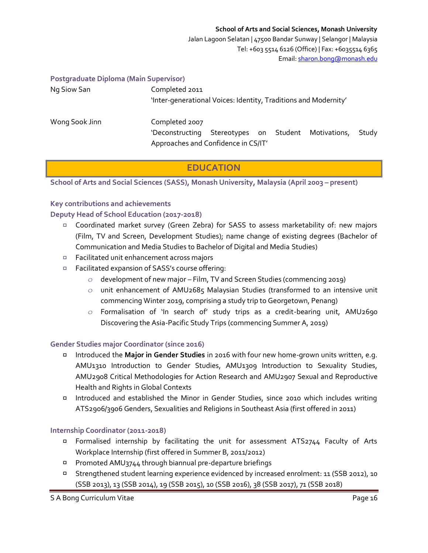Jalan Lagoon Selatan | 47500 Bandar Sunway | Selangor | Malaysia Tel: +603 5514 6126 (Office) | Fax: +6035514 6365 Email[: sharon.bong@monash.edu](mailto:sharon.bong@monash.edu)

#### **Postgraduate Diploma (Main Supervisor)**

| Ng Siow San    | Completed 2011<br>'Inter-generational Voices: Identity, Traditions and Modernity' |       |
|----------------|-----------------------------------------------------------------------------------|-------|
| Wong Sook Jinn | Completed 2007<br>Stereotypes on Student Motivations,<br>'Deconstructing          | Study |
|                | Approaches and Confidence in CS/IT'                                               |       |

# **EDUCATION**

**School of Arts and Social Sciences (SASS), Monash University, Malaysia (April 2003 – present)**

#### **Key contributions and achievements**

### **Deputy Head of School Education (2017-2018)**

- □ Coordinated market survey (Green Zebra) for SASS to assess marketability of: new majors (Film, TV and Screen, Development Studies); name change of existing degrees (Bachelor of Communication and Media Studies to Bachelor of Digital and Media Studies)
- □ Facilitated unit enhancement across majors
- Facilitated expansion of SASS's course offering:
	- $\circ$  development of new major Film, TV and Screen Studies (commencing 2019)
	- $\circ$  unit enhancement of AMU2685 Malaysian Studies (transformed to an intensive unit commencing Winter 2019, comprising a study trip to Georgetown, Penang)
	- $\circ$  Formalisation of 'In search of' study trips as a credit-bearing unit, AMU2690 Discovering the Asia-Pacific Study Trips (commencing Summer A, 2019)

# **Gender Studies major Coordinator (since 2016)**

- Introduced the **Major in Gender Studies** in 2016 with four new home-grown units written, e.g. AMU1310 Introduction to Gender Studies, AMU1309 Introduction to Sexuality Studies, AMU2908 Critical Methodologies for Action Research and AMU2907 Sexual and Reproductive Health and Rights in Global Contexts
- Introduced and established the Minor in Gender Studies, since 2010 which includes writing ATS2906/3906 Genders, Sexualities and Religions in Southeast Asia (first offered in 2011)

#### **Internship Coordinator (2011-2018)**

- □ Formalised internship by facilitating the unit for assessment ATS2744 Faculty of Arts Workplace Internship (first offered in Summer B, 2011/2012)
- Promoted AMU3744 through biannual pre-departure briefings
- Strengthened student learning experience evidenced by increased enrolment: 11 (SSB 2012), 10 (SSB 2013), 13 (SSB 2014), 19 (SSB 2015), 10 (SSB 2016), 38 (SSB 2017), 71 (SSB 2018)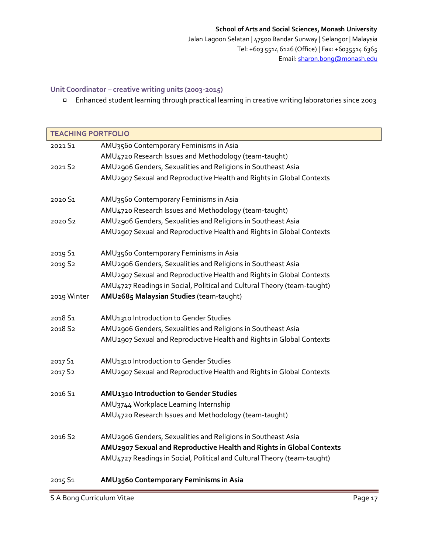Jalan Lagoon Selatan | 47500 Bandar Sunway | Selangor | Malaysia Tel: +603 5514 6126 (Office) | Fax: +6035514 6365 Email[: sharon.bong@monash.edu](mailto:sharon.bong@monash.edu)

# **Unit Coordinator – creative writing units (2003-2015)**

Enhanced student learning through practical learning in creative writing laboratories since 2003

| <b>TEACHING PORTFOLIO</b> |                                                                         |
|---------------------------|-------------------------------------------------------------------------|
| 2021 S1                   | AMU3560 Contemporary Feminisms in Asia                                  |
|                           | AMU4720 Research Issues and Methodology (team-taught)                   |
| 2021 S2                   | AMU2906 Genders, Sexualities and Religions in Southeast Asia            |
|                           | AMU2907 Sexual and Reproductive Health and Rights in Global Contexts    |
|                           |                                                                         |
| 2020 S1                   | AMU3560 Contemporary Feminisms in Asia                                  |
|                           | AMU4720 Research Issues and Methodology (team-taught)                   |
| 2020 S2                   | AMU2906 Genders, Sexualities and Religions in Southeast Asia            |
|                           | AMU2907 Sexual and Reproductive Health and Rights in Global Contexts    |
| 2019 S1                   | AMU3560 Contemporary Feminisms in Asia                                  |
| 2019 S2                   | AMU2906 Genders, Sexualities and Religions in Southeast Asia            |
|                           | AMU2907 Sexual and Reproductive Health and Rights in Global Contexts    |
|                           | AMU4727 Readings in Social, Political and Cultural Theory (team-taught) |
| 2019 Winter               | AMU2685 Malaysian Studies (team-taught)                                 |
|                           |                                                                         |
| 2018 S1                   | AMU1310 Introduction to Gender Studies                                  |
| 2018 S2                   | AMU2906 Genders, Sexualities and Religions in Southeast Asia            |
|                           | AMU2907 Sexual and Reproductive Health and Rights in Global Contexts    |
| 2017 S1                   | AMU1310 Introduction to Gender Studies                                  |
| 2017 S2                   | AMU2907 Sexual and Reproductive Health and Rights in Global Contexts    |
|                           |                                                                         |
| 2016 S1                   | AMU1310 Introduction to Gender Studies                                  |
|                           | AMU3744 Workplace Learning Internship                                   |
|                           | AMU4720 Research Issues and Methodology (team-taught)                   |
| 2016 S2                   | AMU2906 Genders, Sexualities and Religions in Southeast Asia            |
|                           | AMU2907 Sexual and Reproductive Health and Rights in Global Contexts    |
|                           | AMU4727 Readings in Social, Political and Cultural Theory (team-taught) |
|                           |                                                                         |
|                           |                                                                         |

# 2015 S1 **AMU3560 Contemporary Feminisms in Asia**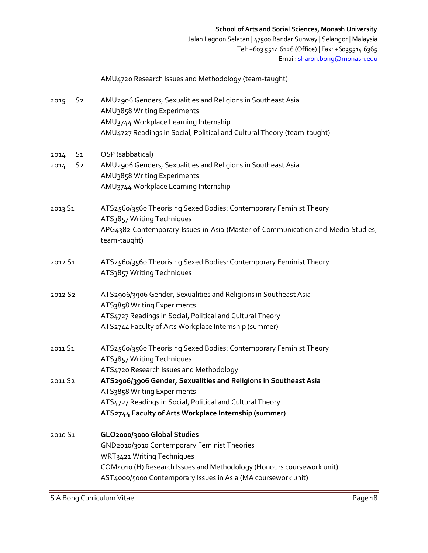Jalan Lagoon Selatan | 47500 Bandar Sunway | Selangor | Malaysia Tel: +603 5514 6126 (Office) | Fax: +6035514 6365 Email[: sharon.bong@monash.edu](mailto:sharon.bong@monash.edu)

|                        | AMU4720 Research Issues and Methodology (team-taught)                                            |
|------------------------|--------------------------------------------------------------------------------------------------|
| S <sub>2</sub><br>2015 | AMU2906 Genders, Sexualities and Religions in Southeast Asia<br>AMU3858 Writing Experiments      |
|                        | AMU3744 Workplace Learning Internship                                                            |
|                        | AMU4727 Readings in Social, Political and Cultural Theory (team-taught)                          |
| S <sub>1</sub><br>2014 | OSP (sabbatical)                                                                                 |
| S <sub>2</sub><br>2014 | AMU2906 Genders, Sexualities and Religions in Southeast Asia                                     |
|                        | AMU3858 Writing Experiments                                                                      |
|                        | AMU3744 Workplace Learning Internship                                                            |
| 2013 S1                | ATS2560/3560 Theorising Sexed Bodies: Contemporary Feminist Theory<br>ATS3857 Writing Techniques |
|                        | APG4382 Contemporary Issues in Asia (Master of Communication and Media Studies,<br>team-taught)  |
| 2012 S1                | ATS2560/3560 Theorising Sexed Bodies: Contemporary Feminist Theory<br>ATS3857 Writing Techniques |
| 2012 S2                | ATS2906/3906 Gender, Sexualities and Religions in Southeast Asia                                 |
|                        | ATS3858 Writing Experiments                                                                      |
|                        | ATS4727 Readings in Social, Political and Cultural Theory                                        |
|                        | ATS2744 Faculty of Arts Workplace Internship (summer)                                            |
| 2011 S1                | ATS2560/3560 Theorising Sexed Bodies: Contemporary Feminist Theory                               |
|                        | ATS3857 Writing Techniques                                                                       |
|                        | ATS4720 Research Issues and Methodology                                                          |
| 2011 S2                | ATS2906/3906 Gender, Sexualities and Religions in Southeast Asia                                 |
|                        | ATS3858 Writing Experiments                                                                      |
|                        | ATS4727 Readings in Social, Political and Cultural Theory                                        |
|                        | ATS2744 Faculty of Arts Workplace Internship (summer)                                            |
| 2010 S1                | GLO2000/3000 Global Studies                                                                      |
|                        | GND2010/3010 Contemporary Feminist Theories                                                      |
|                        | WRT3421 Writing Techniques                                                                       |
|                        | COM4010 (H) Research Issues and Methodology (Honours coursework unit)                            |
|                        | AST4000/5000 Contemporary Issues in Asia (MA coursework unit)                                    |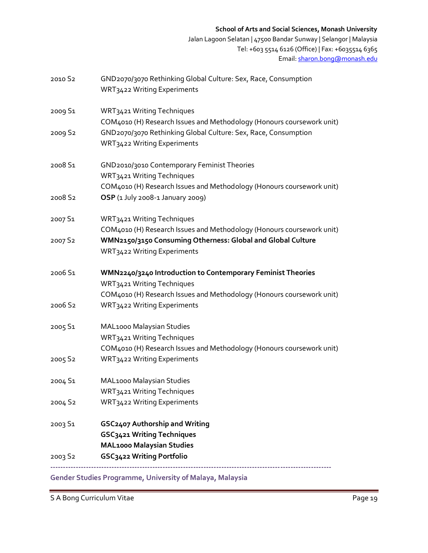Jalan Lagoon Selatan | 47500 Bandar Sunway | Selangor | Malaysia Tel: +603 5514 6126 (Office) | Fax: +6035514 6365 Email[: sharon.bong@monash.edu](mailto:sharon.bong@monash.edu)

| 2010 S <sub>2</sub> | GND2070/3070 Rethinking Global Culture: Sex, Race, Consumption<br>WRT3422 Writing Experiments                                                                      |
|---------------------|--------------------------------------------------------------------------------------------------------------------------------------------------------------------|
| 2009 S1             | WRT3421 Writing Techniques<br>COM4010 (H) Research Issues and Methodology (Honours coursework unit)                                                                |
| 2009 S2             | GND2070/3070 Rethinking Global Culture: Sex, Race, Consumption<br>WRT3422 Writing Experiments                                                                      |
| 2008 S1             | GND2010/3010 Contemporary Feminist Theories<br>WRT3421 Writing Techniques<br>COM4010 (H) Research Issues and Methodology (Honours coursework unit)                 |
| 2008 S2             | OSP (1 July 2008-1 January 2009)                                                                                                                                   |
| 2007 S1             | WRT3421 Writing Techniques<br>COM4010 (H) Research Issues and Methodology (Honours coursework unit)                                                                |
| 2007 S2             | WMN2150/3150 Consuming Otherness: Global and Global Culture<br>WRT3422 Writing Experiments                                                                         |
| 2006 S1             | WMN2240/3240 Introduction to Contemporary Feminist Theories<br>WRT3421 Writing Techniques<br>COM4010 (H) Research Issues and Methodology (Honours coursework unit) |
| 2006 S2             | WRT3422 Writing Experiments                                                                                                                                        |
| 2005 S1             | MAL1000 Malaysian Studies<br>WRT3421 Writing Techniques<br>COM4010 (H) Research Issues and Methodology (Honours coursework unit)                                   |
| 2005 S2             | WRT3422 Writing Experiments                                                                                                                                        |
| 2004 S1             | MAL1000 Malaysian Studies<br>WRT3421 Writing Techniques                                                                                                            |
| 2004 S <sub>2</sub> | WRT3422 Writing Experiments                                                                                                                                        |
| 2003 S1             | GSC2407 Authorship and Writing<br>GSC3421 Writing Techniques<br><b>MAL1000 Malaysian Studies</b>                                                                   |
| 2003 S2             | GSC3422 Writing Portfolio                                                                                                                                          |
|                     |                                                                                                                                                                    |

**Gender Studies Programme, University of Malaya, Malaysia** 

S A Bong Curriculum Vitae **Page 19**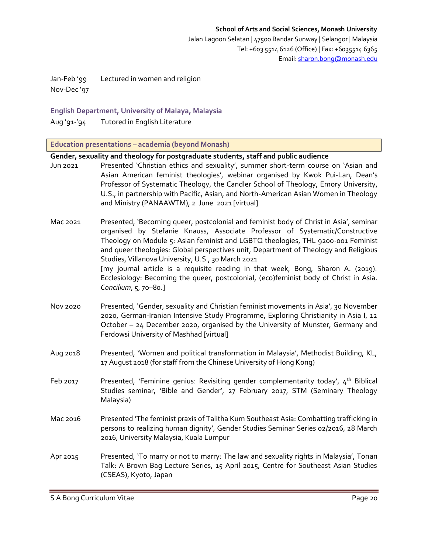Jan-Feb '99 Lectured in women and religion Nov-Dec '97

# **English Department, University of Malaya, Malaysia**

Aug '91-'94 Tutored in English Literature

**Education presentations – academia (beyond Monash)**

| Gender, sexuality and theology for postgraduate students, staff and public audience |                                                                                                                                                                                                                                                                                                                                                                                                                                                                                                                                                                                                                |  |
|-------------------------------------------------------------------------------------|----------------------------------------------------------------------------------------------------------------------------------------------------------------------------------------------------------------------------------------------------------------------------------------------------------------------------------------------------------------------------------------------------------------------------------------------------------------------------------------------------------------------------------------------------------------------------------------------------------------|--|
| Jun 2021                                                                            | Presented 'Christian ethics and sexuality', summer short-term course on 'Asian and<br>Asian American feminist theologies', webinar organised by Kwok Pui-Lan, Dean's<br>Professor of Systematic Theology, the Candler School of Theology, Emory University,<br>U.S., in partnership with Pacific, Asian, and North-American Asian Women in Theology<br>and Ministry (PANAAWTM), 2 June 2021 [virtual]                                                                                                                                                                                                          |  |
| Mac 2021                                                                            | Presented, 'Becoming queer, postcolonial and feminist body of Christ in Asia', seminar<br>organised by Stefanie Knauss, Associate Professor of Systematic/Constructive<br>Theology on Module 5: Asian feminist and LGBTQ theologies, THL 9200-001 Feminist<br>and queer theologies: Global perspectives unit, Department of Theology and Religious<br>Studies, Villanova University, U.S., 30 March 2021<br>[my journal article is a requisite reading in that week, Bong, Sharon A. (2019).<br>Ecclesiology: Becoming the queer, postcolonial, (eco)feminist body of Christ in Asia.<br>Concilium, 5, 70-80.] |  |
| Nov 2020                                                                            | Presented, 'Gender, sexuality and Christian feminist movements in Asia', 30 November<br>2020, German-Iranian Intensive Study Programme, Exploring Christianity in Asia I, 12<br>October - 24 December 2020, organised by the University of Munster, Germany and<br>Ferdowsi University of Mashhad [virtual]                                                                                                                                                                                                                                                                                                    |  |
| Aug 2018                                                                            | Presented, 'Women and political transformation in Malaysia', Methodist Building, KL,<br>17 August 2018 (for staff from the Chinese University of Hong Kong)                                                                                                                                                                                                                                                                                                                                                                                                                                                    |  |
| Feb 2017                                                                            | Presented, 'Feminine genius: Revisiting gender complementarity today', 4 <sup>th</sup> Biblical<br>Studies seminar, 'Bible and Gender', 27 February 2017, STM (Seminary Theology<br>Malaysia)                                                                                                                                                                                                                                                                                                                                                                                                                  |  |
| Mac 2016                                                                            | Presented 'The feminist praxis of Talitha Kum Southeast Asia: Combatting trafficking in<br>persons to realizing human dignity', Gender Studies Seminar Series 02/2016, 28 March<br>2016, University Malaysia, Kuala Lumpur                                                                                                                                                                                                                                                                                                                                                                                     |  |
| Apr 2015                                                                            | Presented, 'To marry or not to marry: The law and sexuality rights in Malaysia', Tonan<br>Talk: A Brown Bag Lecture Series, 15 April 2015, Centre for Southeast Asian Studies<br>(CSEAS), Kyoto, Japan                                                                                                                                                                                                                                                                                                                                                                                                         |  |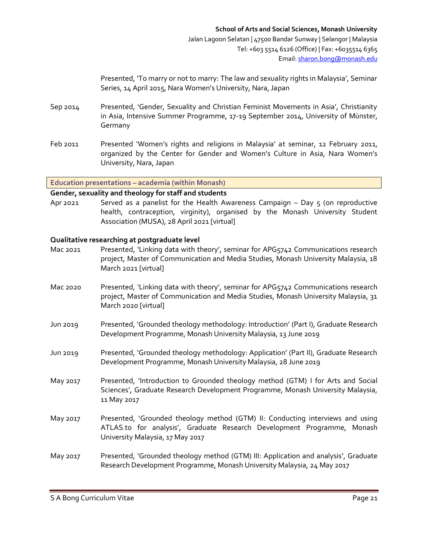Presented, 'To marry or not to marry: The law and sexuality rights in Malaysia', Seminar Series, 14 April 2015, Nara Women's University, Nara, Japan

- Sep 2014 Presented, 'Gender, Sexuality and Christian Feminist Movements in Asia', Christianity in Asia, Intensive Summer Programme, 17-19 September 2014, University of Münster, Germany
- Feb 2011 Presented 'Women's rights and religions in Malaysia' at seminar, 12 February 2011, organized by the Center for Gender and Women's Culture in Asia, Nara Women's University, Nara, Japan

**Education presentations – academia (within Monash)**

#### **Gender, sexuality and theology for staff and students**

Apr 2021 Served as a panelist for the Health Awareness Campaign  $-$  Day  $\zeta$  (on reproductive health, contraception, virginity), organised by the Monash University Student Association (MUSA), 28 April 2021 [virtual]

# **Qualitative researching at postgraduate level**

- Mac 2021 Presented, 'Linking data with theory', seminar for APG5742 Communications research project, Master of Communication and Media Studies, Monash University Malaysia, 18 March 2021 [virtual]
- Mac 2020 Presented, 'Linking data with theory', seminar for APG5742 Communications research project, Master of Communication and Media Studies, Monash University Malaysia, 31 March 2020 [virtual]
- Jun 2019 Presented, 'Grounded theology methodology: Introduction' (Part I), Graduate Research Development Programme, Monash University Malaysia, 13 June 2019
- Jun 2019 Presented, 'Grounded theology methodology: Application' (Part II), Graduate Research Development Programme, Monash University Malaysia, 28 June 2019
- May 2017 Presented, 'Introduction to Grounded theology method (GTM) I for Arts and Social Sciences', Graduate Research Development Programme, Monash University Malaysia, 11 May 2017
- May 2017 Presented, 'Grounded theology method (GTM) II: Conducting interviews and using ATLAS.to for analysis', Graduate Research Development Programme, Monash University Malaysia, 17 May 2017
- May 2017 Presented, 'Grounded theology method (GTM) III: Application and analysis', Graduate Research Development Programme, Monash University Malaysia, 24 May 2017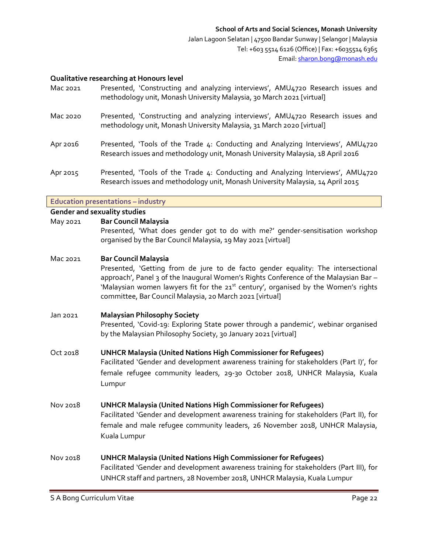### **Qualitative researching at Honours level**

- Mac 2021 Presented, 'Constructing and analyzing interviews', AMU4720 Research issues and methodology unit, Monash University Malaysia, 30 March 2021 [virtual]
- Mac 2020 Presented, 'Constructing and analyzing interviews', AMU4720 Research issues and methodology unit, Monash University Malaysia, 31 March 2020 [virtual]
- Apr 2016 Presented, 'Tools of the Trade 4: Conducting and Analyzing Interviews', AMU4720 Research issues and methodology unit, Monash University Malaysia, 18 April 2016
- Apr 2015 Presented, 'Tools of the Trade 4: Conducting and Analyzing Interviews', AMU4720 Research issues and methodology unit, Monash University Malaysia, 14 April 2015

**Education presentations – industry**

#### **Gender and sexuality studies**

#### May 2021 **Bar Council Malaysia**

- Presented, 'What does gender got to do with me?' gender-sensitisation workshop organised by the Bar Council Malaysia, 19 May 2021 [virtual]
- Mac 2021 **Bar Council Malaysia**

Presented, 'Getting from de jure to de facto gender equality: The intersectional approach', Panel 3 of the Inaugural Women's Rights Conference of the Malaysian Bar -'Malaysian women lawyers fit for the 21<sup>st</sup> century', organised by the Women's rights committee, Bar Council Malaysia, 20 March 2021 [virtual]

Jan 2021 **Malaysian Philosophy Society**

Presented, 'Covid-19: Exploring State power through a pandemic', webinar organised by the Malaysian Philosophy Society, 30 January 2021 [virtual]

Oct 2018 **UNHCR Malaysia (United Nations High Commissioner for Refugees)**

Facilitated 'Gender and development awareness training for stakeholders (Part I)', for female refugee community leaders, 29-30 October 2018, UNHCR Malaysia, Kuala Lumpur

Nov 2018 **UNHCR Malaysia (United Nations High Commissioner for Refugees)**

Facilitated 'Gender and development awareness training for stakeholders (Part II), for female and male refugee community leaders, 26 November 2018, UNHCR Malaysia, Kuala Lumpur

Nov 2018 **UNHCR Malaysia (United Nations High Commissioner for Refugees)** Facilitated 'Gender and development awareness training for stakeholders (Part III), for UNHCR staff and partners, 28 November 2018, UNHCR Malaysia, Kuala Lumpur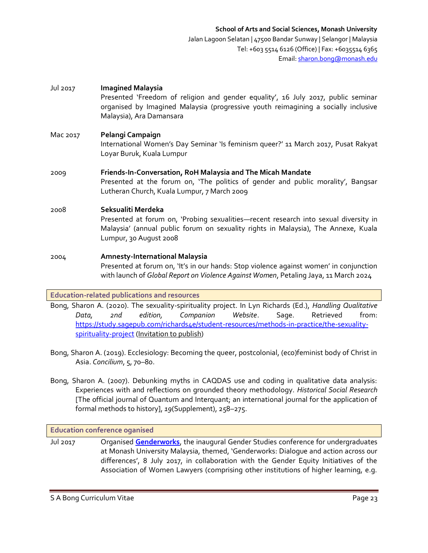# Jul 2017 **Imagined Malaysia** Presented 'Freedom of religion and gender equality', 16 July 2017, public seminar organised by Imagined Malaysia (progressive youth reimagining a socially inclusive Malaysia), Ara Damansara Mac 2017 **Pelangi Campaign**  International Women's Day Seminar 'Is feminism queer?' 11 March 2017, Pusat Rakyat Loyar Buruk, Kuala Lumpur 2009 **Friends-In-Conversation, RoH Malaysia and The Micah Mandate** Presented at the forum on, 'The politics of gender and public morality', Bangsar Lutheran Church, Kuala Lumpur, 7 March 2009 2008 **Seksualiti Merdeka**  Presented at forum on, 'Probing sexualities—recent research into sexual diversity in Malaysia' (annual public forum on sexuality rights in Malaysia), The Annexe, Kuala Lumpur, 30 August 2008 2004 **Amnesty-International Malaysia** Presented at forum on, 'It's in our hands: Stop violence against women' in conjunction with launch of *Global Report on Violence Against Women*, Petaling Jaya, 11 March 2024

# **Education-related publications and resources**

Bong, Sharon A. (2020). The sexuality-spirituality project. In Lyn Richards (Ed.), *Handling Qualitative Data, 2nd edition, Companion Website*. Sage. Retrieved from: [https://study.sagepub.com/richards4e/student-resources/methods-in-practice/the-sexuality](https://study.sagepub.com/richards4e/student-resources/methods-in-practice/the-sexuality-spirituality-project)[spirituality-project](https://study.sagepub.com/richards4e/student-resources/methods-in-practice/the-sexuality-spirituality-project) (Invitation to publish)

- Bong, Sharon A. (2019). Ecclesiology: Becoming the queer, postcolonial, (eco)feminist body of Christ in Asia. *Concilium*, 5, 70–80.
- Bong, Sharon A. (2007). Debunking myths in CAQDAS use and coding in qualitative data analysis: Experiences with and reflections on grounded theory methodology. *Historical Social Research*  [The official journal of Quantum and Interquant; an international journal for the application of formal methods to history], *19*(Supplement), 258–275.

#### **Education conference oganised**

Jul 2017 Organised **[Genderworks](https://www.monash.edu.my/sass/news/news-events/articles/2017/genderworks-dialogue-and-action-across-our-differences)**, the inaugural Gender Studies conference for undergraduates at Monash University Malaysia, themed, 'Genderworks: Dialogue and action across our differences', 8 July 2017, in collaboration with the Gender Equity Initiatives of the Association of Women Lawyers (comprising other institutions of higher learning, e.g.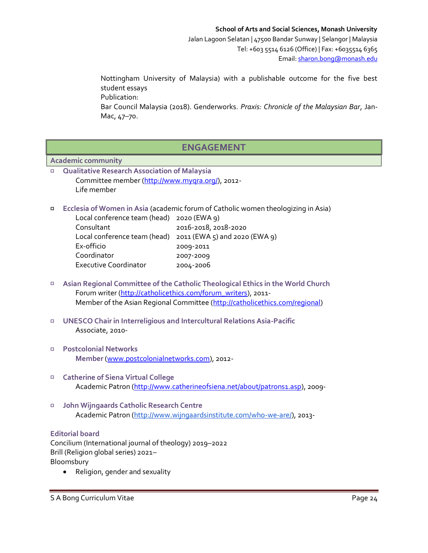Nottingham University of Malaysia) with a publishable outcome for the five best student essays Publication:

Bar Council Malaysia (2018). Genderworks. *Praxis: Chronicle of the Malaysian Bar*, Jan-Mac, 47–70.

# **ENGAGEMENT**

# **Academic community**

- **Qualitative Research Association of Malaysia**  $\Box$ Committee member [\(http://www.myqra.org/\)](http://www.myqra.org/), 2012- Life member
- $\Box$ **Ecclesia of Women in Asia** (academic forum of Catholic women theologizing in Asia)

| Local conference team (head) 2020 (EWA 9)                      |
|----------------------------------------------------------------|
| 2016-2018, 2018-2020                                           |
| Local conference team (head) $2011$ (EWA 5) and $2020$ (EWA 9) |
|                                                                |
|                                                                |
|                                                                |
|                                                                |

- **Asian Regional Committee of the Catholic Theological Ethics in the World Church**   $\Box$ Forum writer [\(http://catholicethics.com/forum\\_writers\)](http://catholicethics.com/forum_writers), 2011-Member of the Asian Regional Committee [\(http://catholicethics.com/regional\)](http://catholicethics.com/regional)
- $\Box$ **UNESCO Chair in Interreligious and Intercultural Relations Asia-Pacific**  Associate, 2010-
- **Postcolonial Networks**   $\Box$ **Member** [\(www.postcolonialnetworks.com\)](http://www.postcolonialnetworks.com/), 2012-
- **Catherine of Siena Virtual College**  $\Box$ Academic Patron [\(http://www.catherineofsiena.net/about/patrons1.asp\)](http://www.catherineofsiena.net/about/patrons1.asp), 2009-
- **John Wijngaards Catholic Research Centre**   $\Box$ Academic Patron [\(http://www.wijngaardsinstitute.com/who-we-are/\)](http://www.wijngaardsinstitute.com/who-we-are/), 2013-

# **Editorial board**

Concilium (International journal of theology) 2019–2022 Brill (Religion global series) 2021– Bloomsbury

Religion, gender and sexuality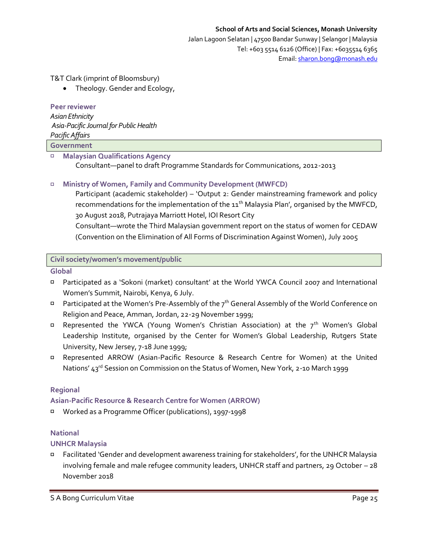Jalan Lagoon Selatan | 47500 Bandar Sunway | Selangor | Malaysia Tel: +603 5514 6126 (Office) | Fax: +6035514 6365 Email[: sharon.bong@monash.edu](mailto:sharon.bong@monash.edu)

T&T Clark (imprint of Bloomsbury)

Theology. Gender and Ecology,

#### **Peer reviewer**

*Asian Ethnicity Asia-Pacific Journal for Public Health Pacific Affairs*

**Government** 

**Malaysian Qualifications Agency**  $\Box$ 

Consultant—panel to draft Programme Standards for Communications, 2012-2013

# **Ministry of Women, Family and Community Development (MWFCD)**

Participant (academic stakeholder) – 'Output 2: Gender mainstreaming framework and policy recommendations for the implementation of the  $11^{th}$  Malaysia Plan', organised by the MWFCD, 30 August 2018, Putrajaya Marriott Hotel, IOI Resort City

Consultant—wrote the Third Malaysian government report on the status of women for CEDAW (Convention on the Elimination of All Forms of Discrimination Against Women), July 2005

### **Civil society/women's movement/public**

**Global** 

- Participated as a 'Sokoni (market) consultant' at the World YWCA Council 2007 and International Women's Summit, Nairobi, Kenya, 6 July.
- Participated at the Women's Pre-Assembly of the 7th General Assembly of the World Conference on Religion and Peace, Amman, Jordan, 22-29 November 1999;
- **E** Represented the YWCA (Young Women's Christian Association) at the  $7<sup>th</sup>$  Women's Global Leadership Institute, organised by the Center for Women's Global Leadership, Rutgers State University, New Jersey, 7-18 June 1999;
- Represented ARROW (Asian-Pacific Resource & Research Centre for Women) at the United Nations' 43<sup>rd</sup> Session on Commission on the Status of Women, New York, 2-10 March 1999

# **Regional**

# **Asian-Pacific Resource & Research Centre for Women (ARROW)**

α, Worked as a Programme Officer (publications), 1997-1998

# **National**

#### **UNHCR Malaysia**

Facilitated 'Gender and development awareness training for stakeholders', for the UNHCR Malaysia involving female and male refugee community leaders, UNHCR staff and partners, 29 October – 28 November 2018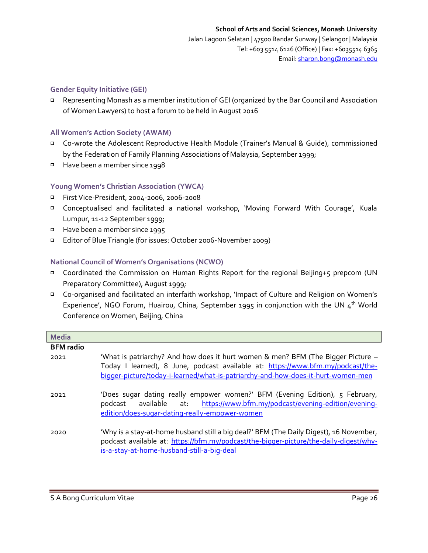# **Gender Equity Initiative (GEI)**

Representing Monash as a member institution of GEI (organized by the Bar Council and Association of Women Lawyers) to host a forum to be held in August 2016

### **All Women's Action Society (AWAM)**

- Co-wrote the Adolescent Reproductive Health Module (Trainer's Manual & Guide), commissioned by the Federation of Family Planning Associations of Malaysia, September 1999;
- Have been a member since 1998

# **Young Women's Christian Association (YWCA)**

- First Vice-President, 2004-2006, 2006-2008
- Conceptualised and facilitated a national workshop, 'Moving Forward With Courage', Kuala Lumpur, 11-12 September 1999;
- Have been a member since 1995
- Editor of Blue Triangle (for issues: October 2006-November 2009)  $\Box$

#### **National Council of Women's Organisations (NCWO)**

- Coordinated the Commission on Human Rights Report for the regional Beijing+5 prepcom (UN Preparatory Committee), August 1999;
- Co-organised and facilitated an interfaith workshop, 'Impact of Culture and Religion on Women's Experience', NGO Forum, Huairou, China, September 1995 in conjunction with the UN  $4<sup>th</sup>$  World Conference on Women, Beijing, China

| <b>Media</b>     |                                                                                                                                                                                                                                                         |
|------------------|---------------------------------------------------------------------------------------------------------------------------------------------------------------------------------------------------------------------------------------------------------|
| <b>BFM</b> radio |                                                                                                                                                                                                                                                         |
| 2021             | "What is patriarchy? And how does it hurt women & men? BFM (The Bigger Picture -<br>Today I learned), 8 June, podcast available at: https://www.bfm.my/podcast/the-<br>bigger-picture/today-i-learned/what-is-patriarchy-and-how-does-it-hurt-women-men |
| 2021             | 'Does sugar dating really empower women?' BFM (Evening Edition), 5 February,<br>available at: https://www.bfm.my/podcast/evening-edition/evening-<br>podcast<br>edition/does-sugar-dating-really-empower-women                                          |
| 2020             | 'Why is a stay-at-home husband still a big deal?' BFM (The Daily Digest), 16 November,<br>podcast available at: https://bfm.my/podcast/the-bigger-picture/the-daily-digest/why-<br>is-a-stay-at-home-husband-still-a-big-deal                           |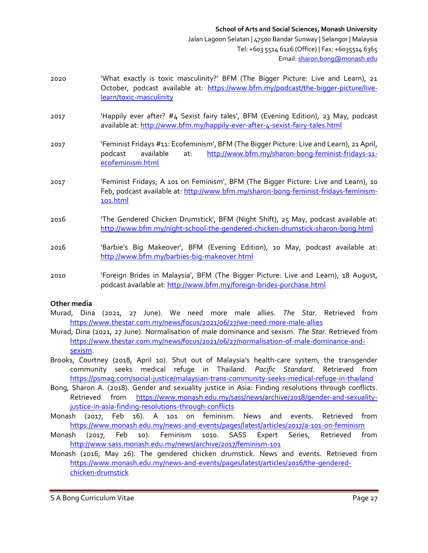- 2020 'What exactly is toxic masculinity?' BFM (The Bigger Picture: Live and Learn), 21 October, podcast available at: [https://www.bfm.my/podcast/the-bigger-picture/live](https://www.bfm.my/podcast/the-bigger-picture/live-learn/toxic-masculinity)[learn/toxic-masculinity](https://www.bfm.my/podcast/the-bigger-picture/live-learn/toxic-masculinity)
- 2017 'Happily ever after? #4 Sexist fairy tales', BFM (Evening Edition), 23 May, podcast available at:<http://www.bfm.my/happily-ever-after-4-sexist-fairy-tales.html>
- 2017 'Feminist Fridays #11: Ecofeminism', BFM (The Bigger Picture: Live and Learn), 21 April, podcast available at: [http://www.bfm.my/sharon-bong-feminist-fridays-11](http://www.bfm.my/sharon-bong-feminist-fridays-11-ecofeminism.html) [ecofeminism.html](http://www.bfm.my/sharon-bong-feminist-fridays-11-ecofeminism.html)
- 2017 'Feminist Fridays; A 101 on Feminism', BFM (The Bigger Picture: Live and Learn), 10 Feb, podcast available at: [http://www.bfm.my/sharon-bong-feminist-fridays-feminism-](http://www.bfm.my/sharon-bong-feminist-fridays-feminism-101.html)[101.html](http://www.bfm.my/sharon-bong-feminist-fridays-feminism-101.html)
- 2016 'The Gendered Chicken Drumstick', BFM (Night Shift), 25 May, podcast available at: <http://www.bfm.my/night-school-the-gendered-chicken-drumstick-sharon-bong.html>
- 2016 'Barbie's Big Makeover', BFM (Evening Edition), 10 May, podcast available at: <http://www.bfm.my/barbies-big-makeover.html>
- 2010 'Foreign Brides in Malaysia', BFM (The Bigger Picture: Live and Learn), 18 August, podcast available at[: http://www.bfm.my/foreign-brides-purchase.html](http://www.bfm.my/foreign-brides-purchase.html)

#### **Other media**

- Murad, Dina (2021, 27 June). We need more male allies. *The Star*. Retrieved from <https://www.thestar.com.my/news/focus/2021/06/27/we-need-more-male-allies>
- Murad, Dina (2021, 27 June). Normalisation of male dominance and sexism. *The Star*. Retrieved from [https://www.thestar.com.my/news/focus/2021/06/27/normalisation-of-male-dominance-and](https://www.thestar.com.my/news/focus/2021/06/27/normalisation-of-male-dominance-and-sexism)[sexism.](https://www.thestar.com.my/news/focus/2021/06/27/normalisation-of-male-dominance-and-sexism)
- Brooks, Courtney (2018, April 10). Shut out of Malaysia's health-care system, the transgender community seeks medical refuge in Thailand. *Pacific Standard*. Retrieved from <https://psmag.com/social-justice/malaysian-trans-community-seeks-medical-refuge-in-thailand>
- Bong, Sharon A. (2018). Gender and sexuality justice in Asia: Finding resolutions through conflicts. Retrieved from [https://www.monash.edu.my/sass/news/archive/2018/gender-and-sexuality](https://www.monash.edu.my/sass/news/archive/2018/gender-and-sexuality-justice-in-asia-finding-resolutions-through-conflicts)[justice-in-asia-finding-resolutions-through-conflicts](https://www.monash.edu.my/sass/news/archive/2018/gender-and-sexuality-justice-in-asia-finding-resolutions-through-conflicts)
- Monash (2017, Feb 16). A 101 on feminism. News and events. Retrieved from <https://www.monash.edu.my/news-and-events/pages/latest/articles/2017/a-101-on-feminism>
- Monash (2017, Feb 10). Feminism 1010. SASS Expert Series, Retrieved from <http://www.sass.monash.edu.my/news/archive/2017/feminism-101>
- Monash (2016, May 26). The gendered chicken drumstick. News and events. Retrieved from [https://www.monash.edu.my/news-and-events/pages/latest/articles/2016/the-gendered](https://www.monash.edu.my/news-and-events/pages/latest/articles/2016/the-gendered-chicken-drumstick)[chicken-drumstick](https://www.monash.edu.my/news-and-events/pages/latest/articles/2016/the-gendered-chicken-drumstick)